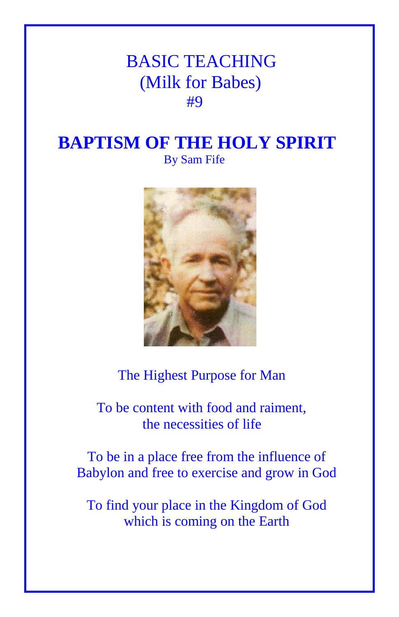## BASIC TEACHING (Milk for Babes) **#9**

## **BAPTISM OF THE HOLY SPIRIT** By Sam Fife



## The Highest Purpose for Man

 To be content with food and raiment, the necessities of life

To be in a place free from the influence of Babylon and free to exercise and grow in God

To find your place in the Kingdom of God which is coming on the Earth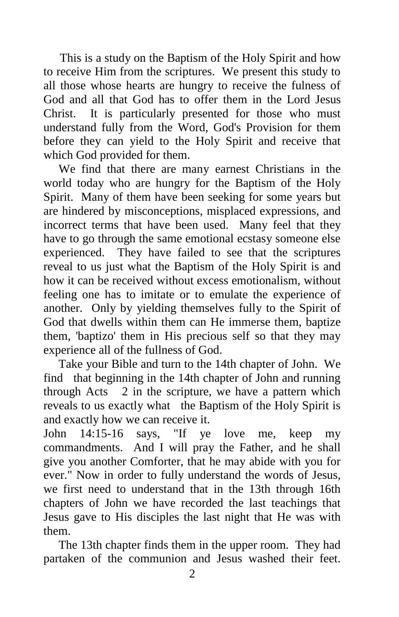This is a study on the Baptism of the Holy Spirit and how to receive Him from the scriptures. We present this study to all those whose hearts are hungry to receive the fulness of God and all that God has to offer them in the Lord Jesus Christ. It is particularly presented for those who must understand fully from the Word, God's Provision for them before they can yield to the Holy Spirit and receive that which God provided for them.

 We find that there are many earnest Christians in the world today who are hungry for the Baptism of the Holy Spirit. Many of them have been seeking for some years but are hindered by misconceptions, misplaced expressions, and incorrect terms that have been used. Many feel that they have to go through the same emotional ecstasy someone else experienced. They have failed to see that the scriptures reveal to us just what the Baptism of the Holy Spirit is and how it can be received without excess emotionalism, without feeling one has to imitate or to emulate the experience of another. Only by yielding themselves fully to the Spirit of God that dwells within them can He immerse them, baptize them, 'baptizo' them in His precious self so that they may experience all of the fullness of God.

 Take your Bible and turn to the 14th chapter of John. We find that beginning in the 14th chapter of John and running through Acts 2 in the scripture, we have a pattern which reveals to us exactly what the Baptism of the Holy Spirit is and exactly how we can receive it.

John 14:15-16 says, "If ye love me, keep my commandments. And I will pray the Father, and he shall give you another Comforter, that he may abide with you for ever." Now in order to fully understand the words of Jesus, we first need to understand that in the 13th through 16th chapters of John we have recorded the last teachings that Jesus gave to His disciples the last night that He was with them.

 The 13th chapter finds them in the upper room. They had partaken of the communion and Jesus washed their feet.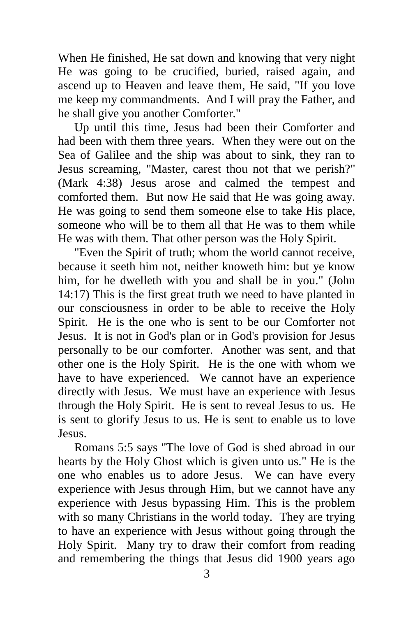When He finished, He sat down and knowing that very night He was going to be crucified, buried, raised again, and ascend up to Heaven and leave them, He said, "If you love me keep my commandments. And I will pray the Father, and he shall give you another Comforter."

 Up until this time, Jesus had been their Comforter and had been with them three years. When they were out on the Sea of Galilee and the ship was about to sink, they ran to Jesus screaming, "Master, carest thou not that we perish?" (Mark 4:38) Jesus arose and calmed the tempest and comforted them. But now He said that He was going away. He was going to send them someone else to take His place, someone who will be to them all that He was to them while He was with them. That other person was the Holy Spirit.

 "Even the Spirit of truth; whom the world cannot receive, because it seeth him not, neither knoweth him: but ye know him, for he dwelleth with you and shall be in you." (John 14:17) This is the first great truth we need to have planted in our consciousness in order to be able to receive the Holy Spirit. He is the one who is sent to be our Comforter not Jesus. It is not in God's plan or in God's provision for Jesus personally to be our comforter. Another was sent, and that other one is the Holy Spirit. He is the one with whom we have to have experienced. We cannot have an experience directly with Jesus. We must have an experience with Jesus through the Holy Spirit. He is sent to reveal Jesus to us. He is sent to glorify Jesus to us. He is sent to enable us to love Jesus.

 Romans 5:5 says "The love of God is shed abroad in our hearts by the Holy Ghost which is given unto us." He is the one who enables us to adore Jesus. We can have every experience with Jesus through Him, but we cannot have any experience with Jesus bypassing Him. This is the problem with so many Christians in the world today. They are trying to have an experience with Jesus without going through the Holy Spirit. Many try to draw their comfort from reading and remembering the things that Jesus did 1900 years ago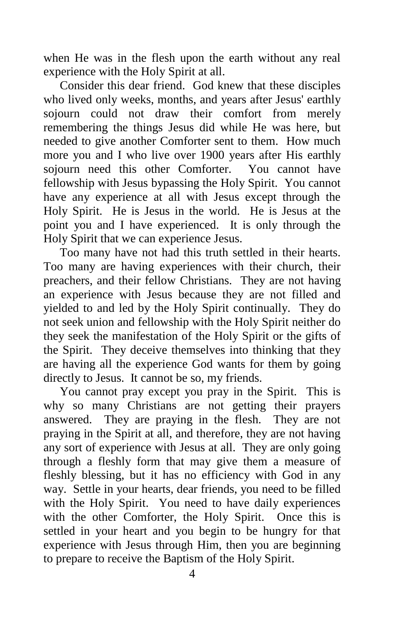when He was in the flesh upon the earth without any real experience with the Holy Spirit at all.

 Consider this dear friend. God knew that these disciples who lived only weeks, months, and years after Jesus' earthly sojourn could not draw their comfort from merely remembering the things Jesus did while He was here, but needed to give another Comforter sent to them. How much more you and I who live over 1900 years after His earthly sojourn need this other Comforter. You cannot have fellowship with Jesus bypassing the Holy Spirit. You cannot have any experience at all with Jesus except through the Holy Spirit. He is Jesus in the world. He is Jesus at the point you and I have experienced. It is only through the Holy Spirit that we can experience Jesus.

 Too many have not had this truth settled in their hearts. Too many are having experiences with their church, their preachers, and their fellow Christians. They are not having an experience with Jesus because they are not filled and yielded to and led by the Holy Spirit continually. They do not seek union and fellowship with the Holy Spirit neither do they seek the manifestation of the Holy Spirit or the gifts of the Spirit. They deceive themselves into thinking that they are having all the experience God wants for them by going directly to Jesus. It cannot be so, my friends.

 You cannot pray except you pray in the Spirit. This is why so many Christians are not getting their prayers answered. They are praying in the flesh. They are not praying in the Spirit at all, and therefore, they are not having any sort of experience with Jesus at all. They are only going through a fleshly form that may give them a measure of fleshly blessing, but it has no efficiency with God in any way. Settle in your hearts, dear friends, you need to be filled with the Holy Spirit. You need to have daily experiences with the other Comforter, the Holy Spirit. Once this is settled in your heart and you begin to be hungry for that experience with Jesus through Him, then you are beginning to prepare to receive the Baptism of the Holy Spirit.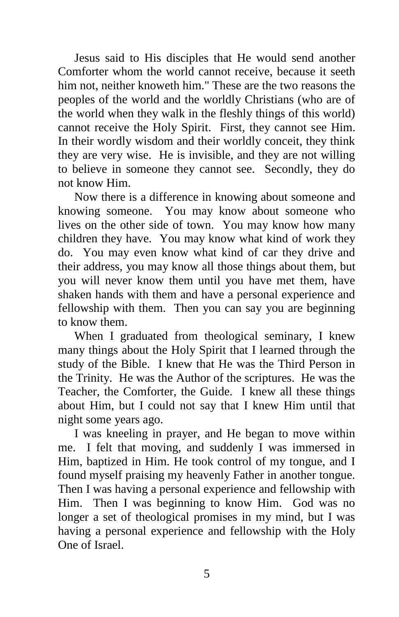Jesus said to His disciples that He would send another Comforter whom the world cannot receive, because it seeth him not, neither knoweth him." These are the two reasons the peoples of the world and the worldly Christians (who are of the world when they walk in the fleshly things of this world) cannot receive the Holy Spirit. First, they cannot see Him. In their wordly wisdom and their worldly conceit, they think they are very wise. He is invisible, and they are not willing to believe in someone they cannot see. Secondly, they do not know Him.

 Now there is a difference in knowing about someone and knowing someone. You may know about someone who lives on the other side of town. You may know how many children they have. You may know what kind of work they do. You may even know what kind of car they drive and their address, you may know all those things about them, but you will never know them until you have met them, have shaken hands with them and have a personal experience and fellowship with them. Then you can say you are beginning to know them.

 When I graduated from theological seminary, I knew many things about the Holy Spirit that I learned through the study of the Bible. I knew that He was the Third Person in the Trinity. He was the Author of the scriptures. He was the Teacher, the Comforter, the Guide. I knew all these things about Him, but I could not say that I knew Him until that night some years ago.

 I was kneeling in prayer, and He began to move within me. I felt that moving, and suddenly I was immersed in Him, baptized in Him. He took control of my tongue, and I found myself praising my heavenly Father in another tongue. Then I was having a personal experience and fellowship with Him. Then I was beginning to know Him. God was no longer a set of theological promises in my mind, but I was having a personal experience and fellowship with the Holy One of Israel.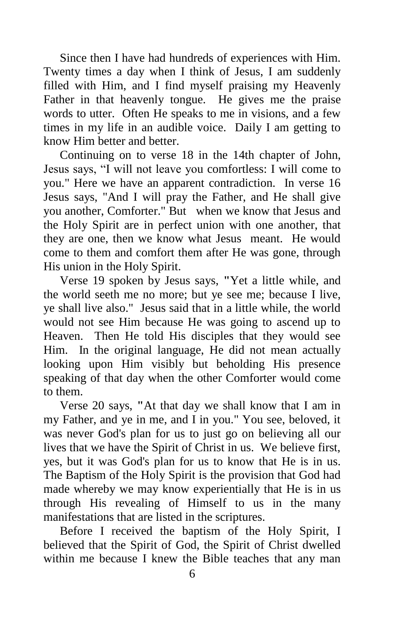Since then I have had hundreds of experiences with Him. Twenty times a day when I think of Jesus, I am suddenly filled with Him, and I find myself praising my Heavenly Father in that heavenly tongue. He gives me the praise words to utter. Often He speaks to me in visions, and a few times in my life in an audible voice. Daily I am getting to know Him better and better.

 Continuing on to verse 18 in the 14th chapter of John, Jesus says, "I will not leave you comfortless: I will come to you." Here we have an apparent contradiction. In verse 16 Jesus says, "And I will pray the Father, and He shall give you another, Comforter." But when we know that Jesus and the Holy Spirit are in perfect union with one another, that they are one, then we know what Jesus meant. He would come to them and comfort them after He was gone, through His union in the Holy Spirit.

 Verse 19 spoken by Jesus says, **"**Yet a little while, and the world seeth me no more; but ye see me; because I live, ye shall live also." Jesus said that in a little while, the world would not see Him because He was going to ascend up to Heaven. Then He told His disciples that they would see Him. In the original language, He did not mean actually looking upon Him visibly but beholding His presence speaking of that day when the other Comforter would come to them.

 Verse 20 says, **"**At that day we shall know that I am in my Father, and ye in me, and I in you." You see, beloved, it was never God's plan for us to just go on believing all our lives that we have the Spirit of Christ in us. We believe first, yes, but it was God's plan for us to know that He is in us. The Baptism of the Holy Spirit is the provision that God had made whereby we may know experientially that He is in us through His revealing of Himself to us in the many manifestations that are listed in the scriptures.

 Before I received the baptism of the Holy Spirit, I believed that the Spirit of God, the Spirit of Christ dwelled within me because I knew the Bible teaches that any man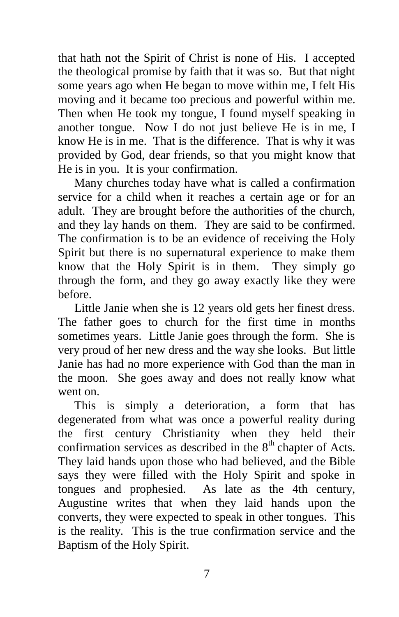that hath not the Spirit of Christ is none of His. I accepted the theological promise by faith that it was so. But that night some years ago when He began to move within me, I felt His moving and it became too precious and powerful within me. Then when He took my tongue, I found myself speaking in another tongue. Now I do not just believe He is in me, I know He is in me. That is the difference. That is why it was provided by God, dear friends, so that you might know that He is in you. It is your confirmation.

 Many churches today have what is called a confirmation service for a child when it reaches a certain age or for an adult. They are brought before the authorities of the church, and they lay hands on them. They are said to be confirmed. The confirmation is to be an evidence of receiving the Holy Spirit but there is no supernatural experience to make them know that the Holy Spirit is in them. They simply go through the form, and they go away exactly like they were before.

 Little Janie when she is 12 years old gets her finest dress. The father goes to church for the first time in months sometimes years. Little Janie goes through the form. She is very proud of her new dress and the way she looks. But little Janie has had no more experience with God than the man in the moon. She goes away and does not really know what went on.

 This is simply a deterioration, a form that has degenerated from what was once a powerful reality during the first century Christianity when they held their confirmation services as described in the  $8<sup>th</sup>$  chapter of Acts. They laid hands upon those who had believed, and the Bible says they were filled with the Holy Spirit and spoke in tongues and prophesied. As late as the 4th century, Augustine writes that when they laid hands upon the converts, they were expected to speak in other tongues. This is the reality. This is the true confirmation service and the Baptism of the Holy Spirit.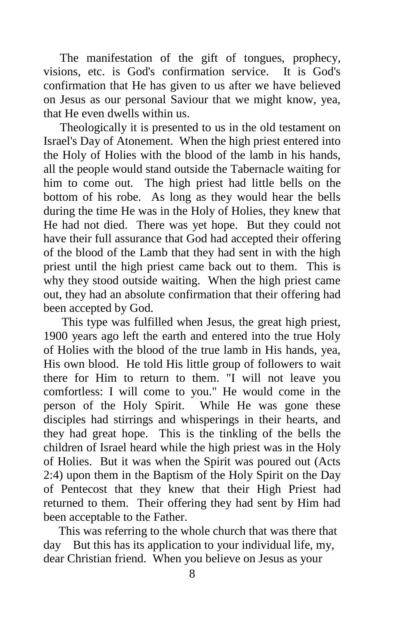The manifestation of the gift of tongues, prophecy, visions, etc. is God's confirmation service. It is God's confirmation that He has given to us after we have believed on Jesus as our personal Saviour that we might know, yea, that He even dwells within us.

 Theologically it is presented to us in the old testament on Israel's Day of Atonement. When the high priest entered into the Holy of Holies with the blood of the lamb in his hands, all the people would stand outside the Tabernacle waiting for him to come out. The high priest had little bells on the bottom of his robe. As long as they would hear the bells during the time He was in the Holy of Holies, they knew that He had not died. There was yet hope. But they could not have their full assurance that God had accepted their offering of the blood of the Lamb that they had sent in with the high priest until the high priest came back out to them. This is why they stood outside waiting. When the high priest came out, they had an absolute confirmation that their offering had been accepted by God.

 This type was fulfilled when Jesus, the great high priest, 1900 years ago left the earth and entered into the true Holy of Holies with the blood of the true lamb in His hands, yea, His own blood. He told His little group of followers to wait there for Him to return to them. "I will not leave you comfortless: I will come to you." He would come in the person of the Holy Spirit. While He was gone these disciples had stirrings and whisperings in their hearts, and they had great hope. This is the tinkling of the bells the children of Israel heard while the high priest was in the Holy of Holies. But it was when the Spirit was poured out (Acts 2:4) upon them in the Baptism of the Holy Spirit on the Day of Pentecost that they knew that their High Priest had returned to them. Their offering they had sent by Him had been acceptable to the Father.

 This was referring to the whole church that was there that day But this has its application to your individual life, my, dear Christian friend. When you believe on Jesus as your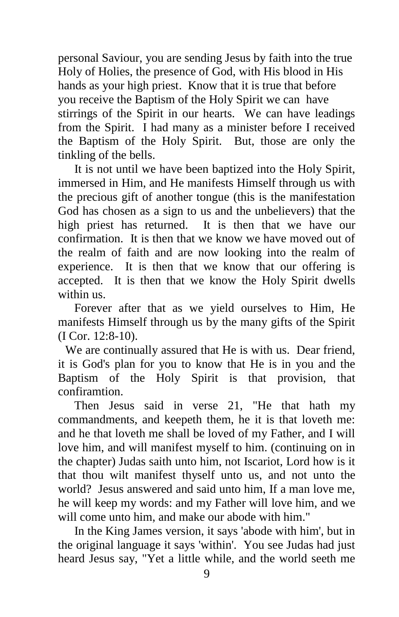personal Saviour, you are sending Jesus by faith into the true Holy of Holies, the presence of God, with His blood in His hands as your high priest. Know that it is true that before you receive the Baptism of the Holy Spirit we can have stirrings of the Spirit in our hearts. We can have leadings from the Spirit. I had many as a minister before I received the Baptism of the Holy Spirit. But, those are only the tinkling of the bells.

 It is not until we have been baptized into the Holy Spirit, immersed in Him, and He manifests Himself through us with the precious gift of another tongue (this is the manifestation God has chosen as a sign to us and the unbelievers) that the high priest has returned. It is then that we have our confirmation. It is then that we know we have moved out of the realm of faith and are now looking into the realm of experience. It is then that we know that our offering is accepted. It is then that we know the Holy Spirit dwells within us.

 Forever after that as we yield ourselves to Him, He manifests Himself through us by the many gifts of the Spirit (I Cor. 12:8-10).

We are continually assured that He is with us. Dear friend, it is God's plan for you to know that He is in you and the Baptism of the Holy Spirit is that provision, that confiramtion.

 Then Jesus said in verse 21, "He that hath my commandments, and keepeth them, he it is that loveth me: and he that loveth me shall be loved of my Father, and I will love him, and will manifest myself to him. (continuing on in the chapter) Judas saith unto him, not Iscariot, Lord how is it that thou wilt manifest thyself unto us, and not unto the world? Jesus answered and said unto him, If a man love me, he will keep my words: and my Father will love him, and we will come unto him, and make our abode with him."

 In the King James version, it says 'abode with him', but in the original language it says 'within'. You see Judas had just heard Jesus say, "Yet a little while, and the world seeth me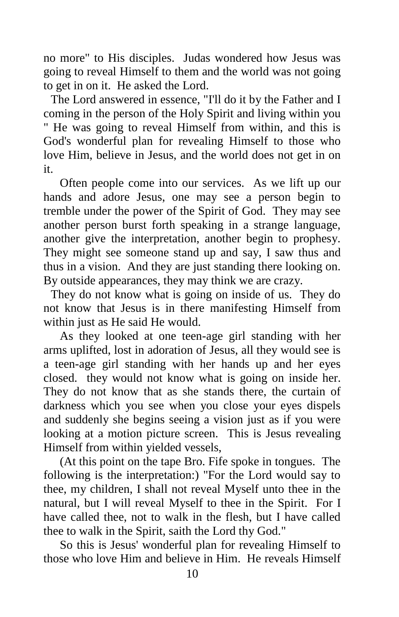no more" to His disciples. Judas wondered how Jesus was going to reveal Himself to them and the world was not going to get in on it. He asked the Lord.

The Lord answered in essence, "I'll do it by the Father and I coming in the person of the Holy Spirit and living within you " He was going to reveal Himself from within, and this is God's wonderful plan for revealing Himself to those who love Him, believe in Jesus, and the world does not get in on it.

 Often people come into our services. As we lift up our hands and adore Jesus, one may see a person begin to tremble under the power of the Spirit of God. They may see another person burst forth speaking in a strange language, another give the interpretation, another begin to prophesy. They might see someone stand up and say, I saw thus and thus in a vision. And they are just standing there looking on. By outside appearances, they may think we are crazy.

They do not know what is going on inside of us. They do not know that Jesus is in there manifesting Himself from within just as He said He would.

 As they looked at one teen-age girl standing with her arms uplifted, lost in adoration of Jesus, all they would see is a teen-age girl standing with her hands up and her eyes closed. they would not know what is going on inside her. They do not know that as she stands there, the curtain of darkness which you see when you close your eyes dispels and suddenly she begins seeing a vision just as if you were looking at a motion picture screen. This is Jesus revealing Himself from within yielded vessels,

 (At this point on the tape Bro. Fife spoke in tongues. The following is the interpretation:) "For the Lord would say to thee, my children, I shall not reveal Myself unto thee in the natural, but I will reveal Myself to thee in the Spirit. For I have called thee, not to walk in the flesh, but I have called thee to walk in the Spirit, saith the Lord thy God."

 So this is Jesus' wonderful plan for revealing Himself to those who love Him and believe in Him. He reveals Himself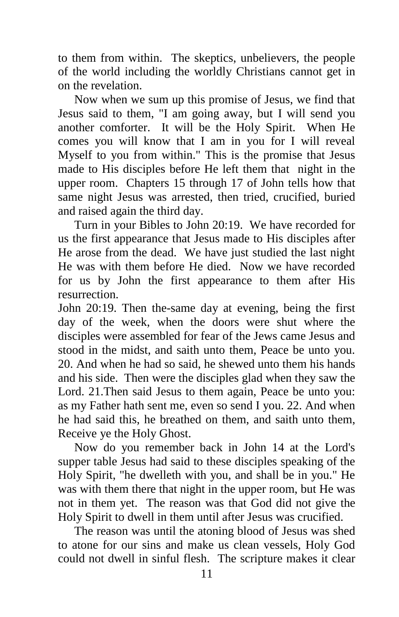to them from within. The skeptics, unbelievers, the people of the world including the worldly Christians cannot get in on the revelation.

 Now when we sum up this promise of Jesus, we find that Jesus said to them, "I am going away, but I will send you another comforter. It will be the Holy Spirit. When He comes you will know that I am in you for I will reveal Myself to you from within." This is the promise that Jesus made to His disciples before He left them that night in the upper room. Chapters 15 through 17 of John tells how that same night Jesus was arrested, then tried, crucified, buried and raised again the third day.

 Turn in your Bibles to John 20:19. We have recorded for us the first appearance that Jesus made to His disciples after He arose from the dead. We have just studied the last night He was with them before He died. Now we have recorded for us by John the first appearance to them after His resurrection.

John 20:19. Then the-same day at evening, being the first day of the week, when the doors were shut where the disciples were assembled for fear of the Jews came Jesus and stood in the midst, and saith unto them, Peace be unto you. 20. And when he had so said, he shewed unto them his hands and his side. Then were the disciples glad when they saw the Lord. 21.Then said Jesus to them again, Peace be unto you: as my Father hath sent me, even so send I you. 22. And when he had said this, he breathed on them, and saith unto them, Receive ye the Holy Ghost.

 Now do you remember back in John 14 at the Lord's supper table Jesus had said to these disciples speaking of the Holy Spirit, "he dwelleth with you, and shall be in you." He was with them there that night in the upper room, but He was not in them yet. The reason was that God did not give the Holy Spirit to dwell in them until after Jesus was crucified.

 The reason was until the atoning blood of Jesus was shed to atone for our sins and make us clean vessels, Holy God could not dwell in sinful flesh. The scripture makes it clear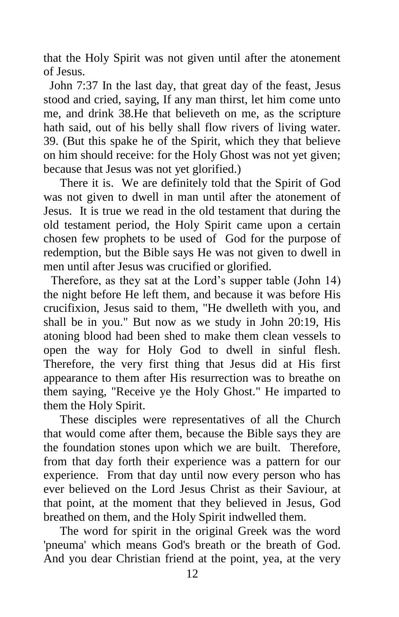that the Holy Spirit was not given until after the atonement of Jesus.

 John 7:37 In the last day, that great day of the feast, Jesus stood and cried, saying, If any man thirst, let him come unto me, and drink 38.He that believeth on me, as the scripture hath said, out of his belly shall flow rivers of living water. 39. (But this spake he of the Spirit, which they that believe on him should receive: for the Holy Ghost was not yet given; because that Jesus was not yet glorified.)

 There it is. We are definitely told that the Spirit of God was not given to dwell in man until after the atonement of Jesus. It is true we read in the old testament that during the old testament period, the Holy Spirit came upon a certain chosen few prophets to be used of God for the purpose of redemption, but the Bible says He was not given to dwell in men until after Jesus was crucified or glorified.

Therefore, as they sat at the Lord's supper table (John 14) the night before He left them, and because it was before His crucifixion, Jesus said to them, "He dwelleth with you, and shall be in you." But now as we study in John 20:19, His atoning blood had been shed to make them clean vessels to open the way for Holy God to dwell in sinful flesh. Therefore, the very first thing that Jesus did at His first appearance to them after His resurrection was to breathe on them saying, "Receive ye the Holy Ghost." He imparted to them the Holy Spirit.

 These disciples were representatives of all the Church that would come after them, because the Bible says they are the foundation stones upon which we are built. Therefore, from that day forth their experience was a pattern for our experience. From that day until now every person who has ever believed on the Lord Jesus Christ as their Saviour, at that point, at the moment that they believed in Jesus, God breathed on them, and the Holy Spirit indwelled them.

 The word for spirit in the original Greek was the word 'pneuma' which means God's breath or the breath of God. And you dear Christian friend at the point, yea, at the very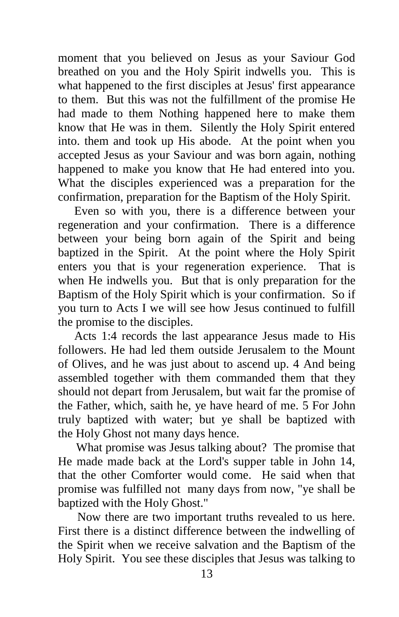moment that you believed on Jesus as your Saviour God breathed on you and the Holy Spirit indwells you. This is what happened to the first disciples at Jesus' first appearance to them. But this was not the fulfillment of the promise He had made to them Nothing happened here to make them know that He was in them. Silently the Holy Spirit entered into. them and took up His abode. At the point when you accepted Jesus as your Saviour and was born again, nothing happened to make you know that He had entered into you. What the disciples experienced was a preparation for the confirmation, preparation for the Baptism of the Holy Spirit.

 Even so with you, there is a difference between your regeneration and your confirmation. There is a difference between your being born again of the Spirit and being baptized in the Spirit. At the point where the Holy Spirit enters you that is your regeneration experience. That is when He indwells you. But that is only preparation for the Baptism of the Holy Spirit which is your confirmation. So if you turn to Acts I we will see how Jesus continued to fulfill the promise to the disciples.

 Acts 1:4 records the last appearance Jesus made to His followers. He had led them outside Jerusalem to the Mount of Olives, and he was just about to ascend up. 4 And being assembled together with them commanded them that they should not depart from Jerusalem, but wait far the promise of the Father, which, saith he, ye have heard of me. 5 For John truly baptized with water; but ye shall be baptized with the Holy Ghost not many days hence.

 What promise was Jesus talking about? The promise that He made made back at the Lord's supper table in John 14, that the other Comforter would come. He said when that promise was fulfilled not many days from now, "ye shall be baptized with the Holy Ghost."

 Now there are two important truths revealed to us here. First there is a distinct difference between the indwelling of the Spirit when we receive salvation and the Baptism of the Holy Spirit. You see these disciples that Jesus was talking to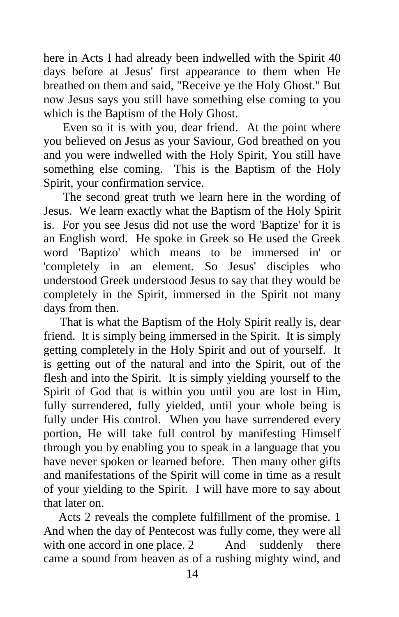here in Acts I had already been indwelled with the Spirit 40 days before at Jesus' first appearance to them when He breathed on them and said, "Receive ye the Holy Ghost." But now Jesus says you still have something else coming to you which is the Baptism of the Holy Ghost.

 Even so it is with you, dear friend. At the point where you believed on Jesus as your Saviour, God breathed on you and you were indwelled with the Holy Spirit, You still have something else coming. This is the Baptism of the Holy Spirit, your confirmation service.

 The second great truth we learn here in the wording of Jesus. We learn exactly what the Baptism of the Holy Spirit is. For you see Jesus did not use the word 'Baptize' for it is an English word. He spoke in Greek so He used the Greek word 'Baptizo' which means to be immersed in' or 'completely in an element. So Jesus' disciples who understood Greek understood Jesus to say that they would be completely in the Spirit, immersed in the Spirit not many days from then.

 That is what the Baptism of the Holy Spirit really is, dear friend. It is simply being immersed in the Spirit. It is simply getting completely in the Holy Spirit and out of yourself. It is getting out of the natural and into the Spirit, out of the flesh and into the Spirit. It is simply yielding yourself to the Spirit of God that is within you until you are lost in Him, fully surrendered, fully yielded, until your whole being is fully under His control. When you have surrendered every portion, He will take full control by manifesting Himself through you by enabling you to speak in a language that you have never spoken or learned before. Then many other gifts and manifestations of the Spirit will come in time as a result of your yielding to the Spirit. I will have more to say about that later on.

 Acts 2 reveals the complete fulfillment of the promise. 1 And when the day of Pentecost was fully come, they were all with one accord in one place. 2 And suddenly there came a sound from heaven as of a rushing mighty wind, and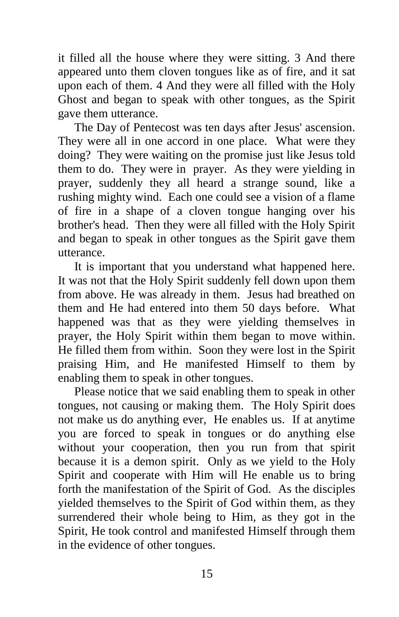it filled all the house where they were sitting. 3 And there appeared unto them cloven tongues like as of fire, and it sat upon each of them. 4 And they were all filled with the Holy Ghost and began to speak with other tongues, as the Spirit gave them utterance.

 The Day of Pentecost was ten days after Jesus' ascension. They were all in one accord in one place. What were they doing? They were waiting on the promise just like Jesus told them to do. They were in prayer. As they were yielding in prayer, suddenly they all heard a strange sound, like a rushing mighty wind. Each one could see a vision of a flame of fire in a shape of a cloven tongue hanging over his brother's head. Then they were all filled with the Holy Spirit and began to speak in other tongues as the Spirit gave them utterance.

 It is important that you understand what happened here. It was not that the Holy Spirit suddenly fell down upon them from above. He was already in them. Jesus had breathed on them and He had entered into them 50 days before. What happened was that as they were yielding themselves in prayer, the Holy Spirit within them began to move within. He filled them from within. Soon they were lost in the Spirit praising Him, and He manifested Himself to them by enabling them to speak in other tongues.

 Please notice that we said enabling them to speak in other tongues, not causing or making them. The Holy Spirit does not make us do anything ever, He enables us. If at anytime you are forced to speak in tongues or do anything else without your cooperation, then you run from that spirit because it is a demon spirit. Only as we yield to the Holy Spirit and cooperate with Him will He enable us to bring forth the manifestation of the Spirit of God.As the disciples yielded themselves to the Spirit of God within them, as they surrendered their whole being to Him, as they got in the Spirit, He took control and manifested Himself through them in the evidence of other tongues.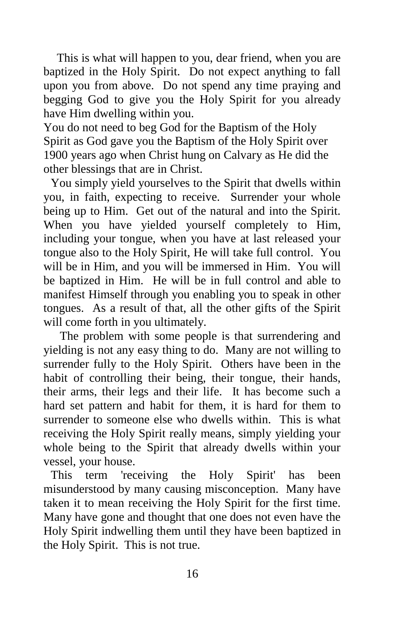This is what will happen to you, dear friend, when you are baptized in the Holy Spirit. Do not expect anything to fall upon you from above. Do not spend any time praying and begging God to give you the Holy Spirit for you already have Him dwelling within you.

You do not need to beg God for the Baptism of the Holy Spirit as God gave you the Baptism of the Holy Spirit over 1900 years ago when Christ hung on Calvary as He did the other blessings that are in Christ.

You simply yield yourselves to the Spirit that dwells within you, in faith, expecting to receive. Surrender your whole being up to Him. Get out of the natural and into the Spirit. When you have yielded yourself completely to Him, including your tongue, when you have at last released your tongue also to the Holy Spirit, He will take full control. You will be in Him, and you will be immersed in Him. You will be baptized in Him. He will be in full control and able to manifest Himself through you enabling you to speak in other tongues. As a result of that, all the other gifts of the Spirit will come forth in you ultimately.

 The problem with some people is that surrendering and yielding is not any easy thing to do. Many are not willing to surrender fully to the Holy Spirit. Others have been in the habit of controlling their being, their tongue, their hands, their arms, their legs and their life. It has become such a hard set pattern and habit for them, it is hard for them to surrender to someone else who dwells within. This is what receiving the Holy Spirit really means, simply yielding your whole being to the Spirit that already dwells within your vessel, your house.

This term 'receiving the Holy Spirit' has been misunderstood by many causing misconception. Many have taken it to mean receiving the Holy Spirit for the first time. Many have gone and thought that one does not even have the Holy Spirit indwelling them until they have been baptized in the Holy Spirit. This is not true.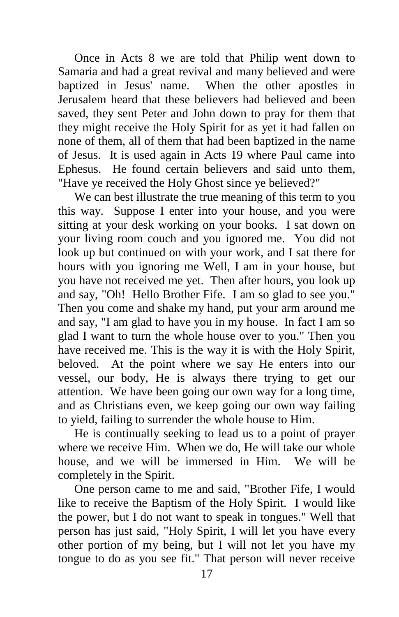Once in Acts 8 we are told that Philip went down to Samaria and had a great revival and many believed and were baptized in Jesus' name. When the other apostles in Jerusalem heard that these believers had believed and been saved, they sent Peter and John down to pray for them that they might receive the Holy Spirit for as yet it had fallen on none of them, all of them that had been baptized in the name of Jesus. It is used again in Acts 19 where Paul came into Ephesus. He found certain believers and said unto them, "Have ye received the Holy Ghost since ye believed?"

 We can best illustrate the true meaning of this term to you this way. Suppose I enter into your house, and you were sitting at your desk working on your books. I sat down on your living room couch and you ignored me. You did not look up but continued on with your work, and I sat there for hours with you ignoring me Well, I am in your house, but you have not received me yet. Then after hours, you look up and say, "Oh! Hello Brother Fife. I am so glad to see you." Then you come and shake my hand, put your arm around me and say, "I am glad to have you in my house. In fact I am so glad I want to turn the whole house over to you." Then you have received me. This is the way it is with the Holy Spirit, beloved. At the point where we say He enters into our vessel, our body, He is always there trying to get our attention. We have been going our own way for a long time, and as Christians even, we keep going our own way failing to yield, failing to surrender the whole house to Him.

 He is continually seeking to lead us to a point of prayer where we receive Him. When we do, He will take our whole house, and we will be immersed in Him. We will be completely in the Spirit.

 One person came to me and said, "Brother Fife, I would like to receive the Baptism of the Holy Spirit. I would like the power, but I do not want to speak in tongues." Well that person has just said, "Holy Spirit, I will let you have every other portion of my being, but I will not let you have my tongue to do as you see fit." That person will never receive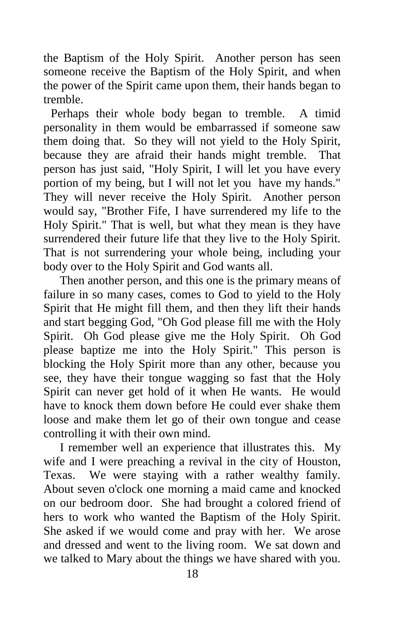the Baptism of the Holy Spirit. Another person has seen someone receive the Baptism of the Holy Spirit, and when the power of the Spirit came upon them, their hands began to tremble.

Perhaps their whole body began to tremble. A timid personality in them would be embarrassed if someone saw them doing that. So they will not yield to the Holy Spirit, because they are afraid their hands might tremble. That person has just said, "Holy Spirit, I will let you have every portion of my being, but I will not let you have my hands." They will never receive the Holy Spirit. Another person would say, "Brother Fife, I have surrendered my life to the Holy Spirit." That is well, but what they mean is they have surrendered their future life that they live to the Holy Spirit. That is not surrendering your whole being, including your body over to the Holy Spirit and God wants all.

 Then another person, and this one is the primary means of failure in so many cases, comes to God to yield to the Holy Spirit that He might fill them, and then they lift their hands and start begging God, "Oh God please fill me with the Holy Spirit. Oh God please give me the Holy Spirit. Oh God please baptize me into the Holy Spirit." This person is blocking the Holy Spirit more than any other, because you see, they have their tongue wagging so fast that the Holy Spirit can never get hold of it when He wants. He would have to knock them down before He could ever shake them loose and make them let go of their own tongue and cease controlling it with their own mind.

 I remember well an experience that illustrates this. My wife and I were preaching a revival in the city of Houston, Texas. We were staying with a rather wealthy family. About seven o'clock one morning a maid came and knocked on our bedroom door. She had brought a colored friend of hers to work who wanted the Baptism of the Holy Spirit. She asked if we would come and pray with her. We arose and dressed and went to the living room. We sat down and we talked to Mary about the things we have shared with you.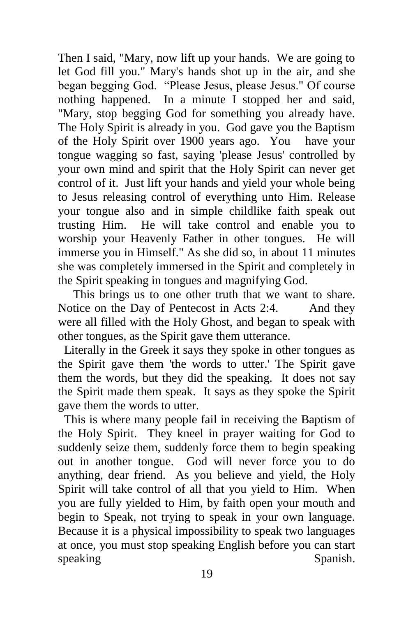Then I said, "Mary, now lift up your hands. We are going to let God fill you." Mary's hands shot up in the air, and she began begging God. "Please Jesus, please Jesus." Of course nothing happened. In a minute I stopped her and said, "Mary, stop begging God for something you already have. The Holy Spirit is already in you. God gave you the Baptism of the Holy Spirit over 1900 years ago. You have your tongue wagging so fast, saying 'please Jesus' controlled by your own mind and spirit that the Holy Spirit can never get control of it. Just lift your hands and yield your whole being to Jesus releasing control of everything unto Him. Release your tongue also and in simple childlike faith speak out trusting Him. He will take control and enable you to worship your Heavenly Father in other tongues. He will immerse you in Himself." As she did so, in about 11 minutes she was completely immersed in the Spirit and completely in the Spirit speaking in tongues and magnifying God.

 This brings us to one other truth that we want to share. Notice on the Day of Pentecost in Acts 2:4. And they were all filled with the Holy Ghost, and began to speak with other tongues, as the Spirit gave them utterance.

 Literally in the Greek it says they spoke in other tongues as the Spirit gave them 'the words to utter.' The Spirit gave them the words, but they did the speaking. It does not say the Spirit made them speak. It says as they spoke the Spirit gave them the words to utter.

 This is where many people fail in receiving the Baptism of the Holy Spirit. They kneel in prayer waiting for God to suddenly seize them, suddenly force them to begin speaking out in another tongue. God will never force you to do anything, dear friend. As you believe and yield, the Holy Spirit will take control of all that you yield to Him. When you are fully yielded to Him, by faith open your mouth and begin to Speak, not trying to speak in your own language. Because it is a physical impossibility to speak two languages at once, you must stop speaking English before you can start speaking Spanish.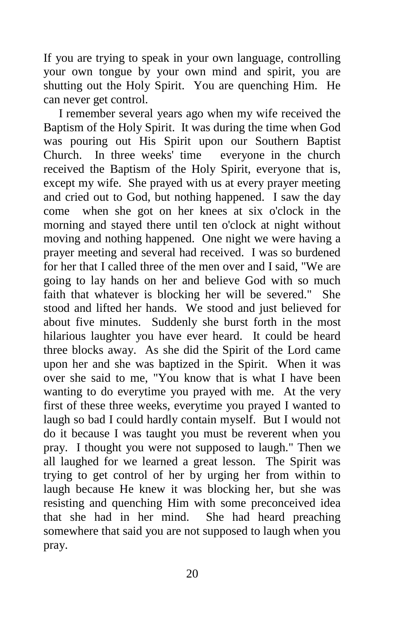If you are trying to speak in your own language, controlling your own tongue by your own mind and spirit, you are shutting out the Holy Spirit. You are quenching Him. He can never get control.

 I remember several years ago when my wife received the Baptism of the Holy Spirit. It was during the time when God was pouring out His Spirit upon our Southern Baptist Church. In three weeks' time everyone in the church received the Baptism of the Holy Spirit, everyone that is, except my wife. She prayed with us at every prayer meeting and cried out to God, but nothing happened. I saw the day come when she got on her knees at six o'clock in the morning and stayed there until ten o'clock at night without moving and nothing happened. One night we were having a prayer meeting and several had received. I was so burdened for her that I called three of the men over and I said, "We are going to lay hands on her and believe God with so much faith that whatever is blocking her will be severed." She stood and lifted her hands. We stood and just believed for about five minutes. Suddenly she burst forth in the most hilarious laughter you have ever heard. It could be heard three blocks away. As she did the Spirit of the Lord came upon her and she was baptized in the Spirit. When it was over she said to me, "You know that is what I have been wanting to do everytime you prayed with me. At the very first of these three weeks, everytime you prayed I wanted to laugh so bad I could hardly contain myself. But I would not do it because I was taught you must be reverent when you pray. I thought you were not supposed to laugh." Then we all laughed for we learned a great lesson. The Spirit was trying to get control of her by urging her from within to laugh because He knew it was blocking her, but she was resisting and quenching Him with some preconceived idea that she had in her mind. She had heard preaching somewhere that said you are not supposed to laugh when you pray.